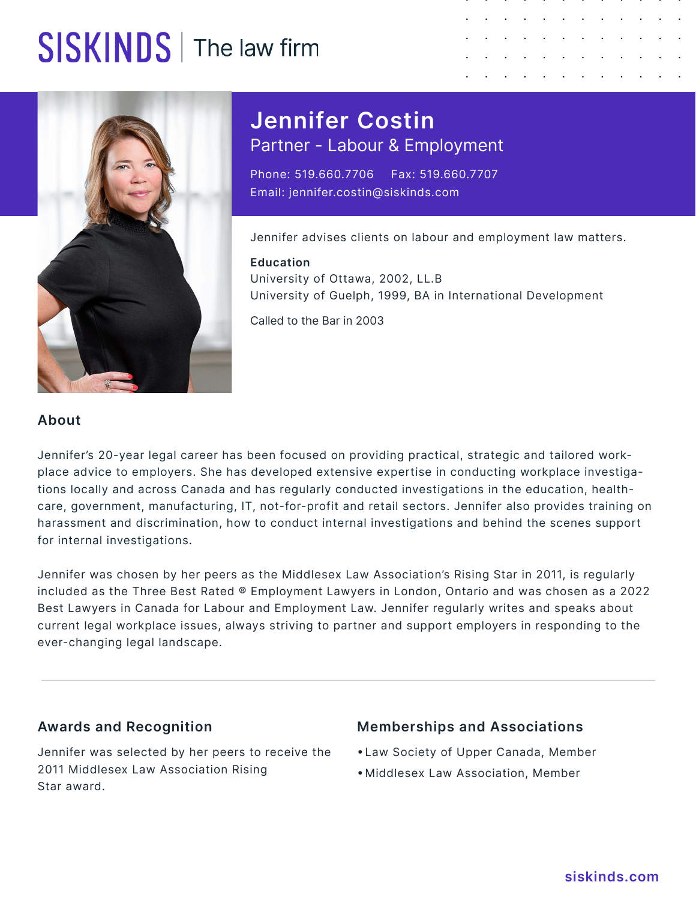## SISKINDS | The law firm





**Jennifer Costin** Partner - Labour & Employment

Phone: 519.660.7706 Fax: 519.660.7707 Email: jennifer.costin@siskinds.com

Jennifer advises clients on labour and employment law matters.

**Education** University of Ottawa, 2002, LL.B University of Guelph, 1999, BA in International Development

Called to the Bar in 2003

### **About**

Jennifer's 20-year legal career has been focused on providing practical, strategic and tailored workplace advice to employers. She has developed extensive expertise in conducting workplace investigations locally and across Canada and has regularly conducted investigations in the education, healthcare, government, manufacturing, IT, not-for-profit and retail sectors. Jennifer also provides training on harassment and discrimination, how to conduct internal investigations and behind the scenes support for internal investigations.

Jennifer was chosen by her peers as the Middlesex Law Association's Rising Star in 2011, is regularly included as the Three Best Rated ® Employment Lawyers in London, Ontario and was chosen as a 2022 Best Lawyers in Canada for Labour and Employment Law. Jennifer regularly writes and speaks about current legal workplace issues, always striving to partner and support employers in responding to the ever-changing legal landscape.

### **Awards and Recognition**

Jennifer was selected by her peers to receive the 2011 Middlesex Law Association Rising Star award.

### **Memberships and Associations**

- • Law Society of Upper Canada, Member
- • Middlesex Law Association, Member